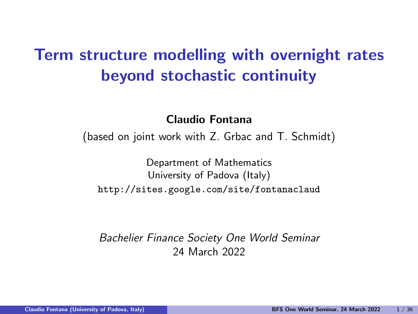# Term structure modelling with overnight rates beyond stochastic continuity

Claudio Fontana

(based on joint work with Z. Grbac and T. Schmidt)

Department of Mathematics University of Padova (Italy) http://sites.google.com/site/fontanaclaud

Bachelier Finance Society One World Seminar 24 March 2022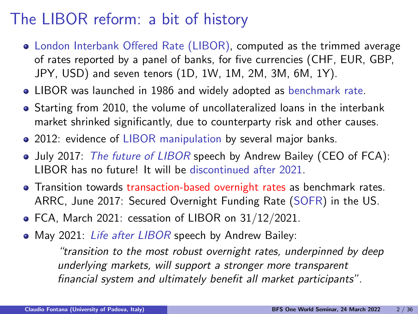# The LIBOR reform: a bit of history

- London Interbank Offered Rate (LIBOR), computed as the trimmed average of rates reported by a panel of banks, for five currencies (CHF, EUR, GBP, JPY, USD) and seven tenors (1D, 1W, 1M, 2M, 3M, 6M, 1Y).
- LIBOR was launched in 1986 and widely adopted as benchmark rate.
- Starting from 2010, the volume of uncollateralized loans in the interbank market shrinked significantly, due to counterparty risk and other causes.
- 2012: evidence of LIBOR manipulation by several major banks.
- July 2017: The future of LIBOR speech by Andrew Bailey (CEO of FCA): LIBOR has no future! It will be discontinued after 2021.
- Transition towards transaction-based overnight rates as benchmark rates. ARRC, June 2017: Secured Overnight Funding Rate (SOFR) in the US.
- FCA, March 2021: cessation of LIBOR on 31/12/2021.
- May 2021: Life after LIBOR speech by Andrew Bailey:

"transition to the most robust overnight rates, underpinned by deep underlying markets, will support a stronger more transparent financial system and ultimately benefit all market participants".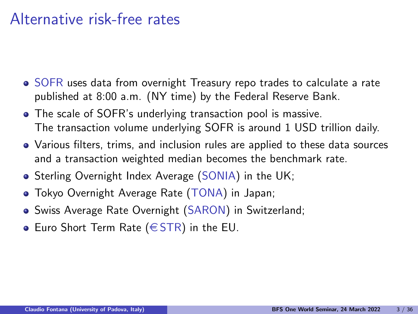### Alternative risk-free rates

- SOFR uses data from overnight Treasury repo trades to calculate a rate published at 8:00 a.m. (NY time) by the Federal Reserve Bank.
- The scale of SOFR's underlying transaction pool is massive. The transaction volume underlying SOFR is around 1 USD trillion daily.
- Various filters, trims, and inclusion rules are applied to these data sources and a transaction weighted median becomes the benchmark rate.
- Sterling Overnight Index Average (SONIA) in the UK;
- Tokyo Overnight Average Rate (TONA) in Japan;
- Swiss Average Rate Overnight (SARON) in Switzerland;
- Euro Short Term Rate ( $\in$  STR) in the EU.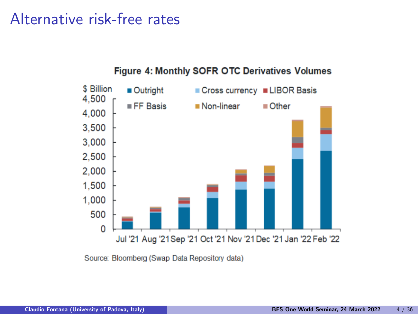### Alternative risk-free rates



#### Figure 4: Monthly SOFR OTC Derivatives Volumes

Source: Bloomberg (Swap Data Repository data)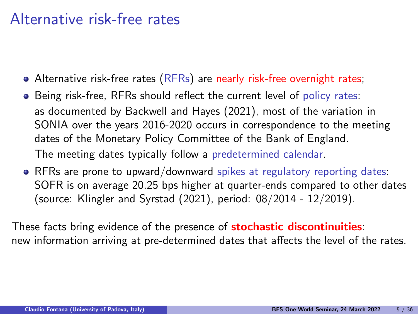### Alternative risk-free rates

- Alternative risk-free rates (RFRs) are nearly risk-free overnight rates;
- Being risk-free, RFRs should reflect the current level of policy rates: as documented by Backwell and Hayes (2021), most of the variation in SONIA over the years 2016-2020 occurs in correspondence to the meeting dates of the Monetary Policy Committee of the Bank of England. The meeting dates typically follow a predetermined calendar.
- RFRs are prone to upward/downward spikes at regulatory reporting dates: SOFR is on average 20.25 bps higher at quarter-ends compared to other dates (source: Klingler and Syrstad (2021), period: 08/2014 - 12/2019).

These facts bring evidence of the presence of **stochastic discontinuities**: new information arriving at pre-determined dates that affects the level of the rates.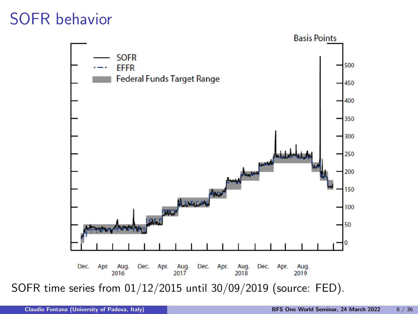## SOFR behavior

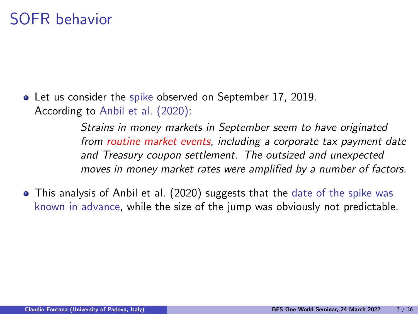Let us consider the spike observed on September 17, 2019. According to Anbil et al. (2020):

> Strains in money markets in September seem to have originated from routine market events, including a corporate tax payment date and Treasury coupon settlement. The outsized and unexpected moves in money market rates were amplified by a number of factors.

• This analysis of Anbil et al. (2020) suggests that the date of the spike was known in advance, while the size of the jump was obviously not predictable.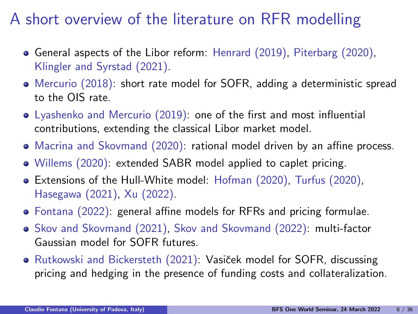## A short overview of the literature on RFR modelling

- General aspects of the Libor reform: Henrard (2019), Piterbarg (2020), Klingler and Syrstad (2021).
- Mercurio (2018): short rate model for SOFR, adding a deterministic spread to the OIS rate.
- Lyashenko and Mercurio (2019): one of the first and most influential contributions, extending the classical Libor market model.
- Macrina and Skovmand (2020): rational model driven by an affine process.
- Willems (2020): extended SABR model applied to caplet pricing.
- Extensions of the Hull-White model: Hofman (2020), Turfus (2020), Hasegawa (2021), Xu (2022).
- Fontana (2022): general affine models for RFRs and pricing formulae.
- Skov and Skovmand (2021), Skov and Skovmand (2022): multi-factor Gaussian model for SOFR futures.
- Rutkowski and Bickersteth (2021): Vasiček model for SOFR, discussing pricing and hedging in the presence of funding costs and collateralization.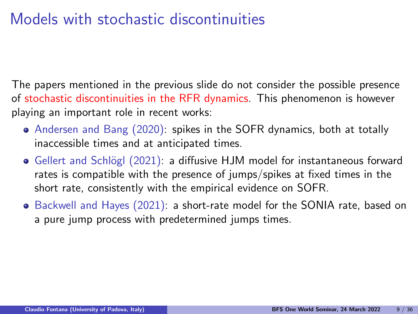# Models with stochastic discontinuities

The papers mentioned in the previous slide do not consider the possible presence of stochastic discontinuities in the RFR dynamics. This phenomenon is however playing an important role in recent works:

- Andersen and Bang (2020): spikes in the SOFR dynamics, both at totally inaccessible times and at anticipated times.
- Gellert and Schlögl (2021): a diffusive HJM model for instantaneous forward rates is compatible with the presence of jumps/spikes at fixed times in the short rate, consistently with the empirical evidence on SOFR.
- Backwell and Hayes (2021): a short-rate model for the SONIA rate, based on a pure jump process with predetermined jumps times.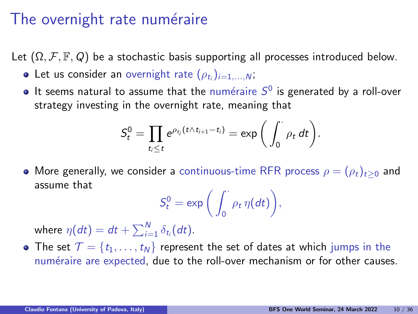#### The overnight rate numéraire

Let  $(\Omega, \mathcal{F}, \mathbb{F}, Q)$  be a stochastic basis supporting all processes introduced below.

- Let us consider an overnight rate  $(\rho_{t_i})_{i=1,...,N}$ ;
- It seems natural to assume that the numéraire  $S^0$  is generated by a roll-over strategy investing in the overnight rate, meaning that

$$
S_t^0 = \prod_{t_i \leq t} e^{\rho_{t_i}(t \wedge t_{i+1} - t_i)} = \exp\bigg(\int_0^{\cdot} \rho_t dt\bigg).
$$

• More generally, we consider a continuous-time RFR process  $\rho = (\rho_t)_{t>0}$  and assume that

$$
S_t^0 = \exp\bigg(\int_0^{\cdot} \rho_t \,\eta(dt)\bigg),\,
$$

where  $\eta(dt)=dt+\sum_{i=1}^N\delta_{t_i}(dt).$ 

• The set  $\mathcal{T} = \{t_1, \ldots, t_N\}$  represent the set of dates at which jumps in the numéraire are expected, due to the roll-over mechanism or for other causes.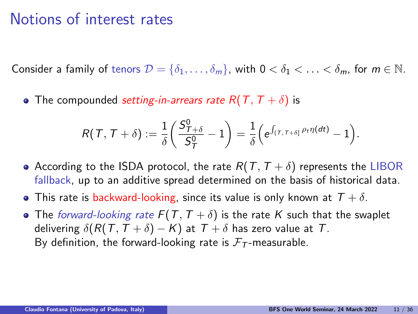#### Notions of interest rates

Consider a family of tenors  $\mathcal{D} = \{\delta_1, \ldots, \delta_m\}$ , with  $0 < \delta_1 < \ldots < \delta_m$ , for  $m \in \mathbb{N}$ .

• The compounded setting-in-arrears rate  $R(T, T + \delta)$  is

$$
R(\mathcal{T},\mathcal{T}+\delta):=\frac{1}{\delta}\bigg(\frac{S_{\mathcal{T}+\delta}^0}{S_{\mathcal{T}}^0}-1\bigg)=\frac{1}{\delta}\Big(e^{\int_{(\mathcal{T},\mathcal{T}+\delta]} \rho_t \eta(dt)}-1\Big).
$$

- According to the ISDA protocol, the rate  $R(T, T + \delta)$  represents the LIBOR fallback, up to an additive spread determined on the basis of historical data.
- **•** This rate is backward-looking, since its value is only known at  $T + \delta$ .
- The forward-looking rate  $F(T, T + \delta)$  is the rate K such that the swaplet delivering  $\delta(R(T, T + \delta) - K)$  at  $T + \delta$  has zero value at T. By definition, the forward-looking rate is  $F<sub>T</sub>$ -measurable.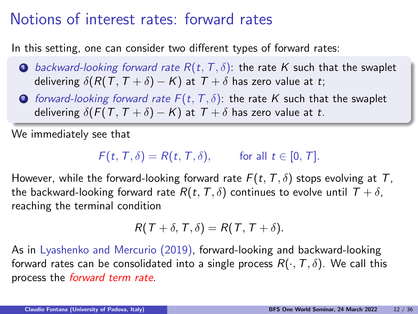#### Notions of interest rates: forward rates

In this setting, one can consider two different types of forward rates:

- **1** backward-looking forward rate  $R(t, T, \delta)$ : the rate K such that the swaplet delivering  $\delta(R(T, T + \delta) - K)$  at  $T + \delta$  has zero value at t;
- 2 forward-looking forward rate  $F(t, T, \delta)$ : the rate K such that the swaplet delivering  $\delta(F(T, T + \delta) - K)$  at  $T + \delta$  has zero value at t.

We immediately see that

$$
F(t, T, \delta) = R(t, T, \delta), \quad \text{for all } t \in [0, T].
$$

However, while the forward-looking forward rate  $F(t, T, \delta)$  stops evolving at T, the backward-looking forward rate  $R(t, T, \delta)$  continues to evolve until  $T + \delta$ , reaching the terminal condition

$$
R(T+\delta,T,\delta)=R(T,T+\delta).
$$

As in Lyashenko and Mercurio (2019), forward-looking and backward-looking forward rates can be consolidated into a single process  $R(\cdot, \mathcal{T}, \delta)$ . We call this process the forward term rate.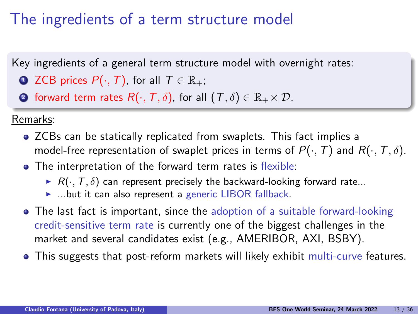# The ingredients of a term structure model

Key ingredients of a general term structure model with overnight rates:

- **ZCB prices**  $P(\cdot, T)$ **, for all**  $T \in \mathbb{R}_+$ **;**
- **2** forward term rates  $R(\cdot, T, \delta)$ , for all  $(T, \delta) \in \mathbb{R}_+ \times \mathcal{D}$ .

Remarks:

- ZCBs can be statically replicated from swaplets. This fact implies a model-free representation of swaplet prices in terms of  $P(\cdot,T)$  and  $R(\cdot,T,\delta)$ .
- The interpretation of the forward term rates is flexible:
	- $\blacktriangleright$  R( $\cdot$ , T,  $\delta$ ) can represent precisely the backward-looking forward rate...
	- $\blacktriangleright$  ...but it can also represent a generic LIBOR fallback.
- The last fact is important, since the adoption of a suitable forward-looking credit-sensitive term rate is currently one of the biggest challenges in the market and several candidates exist (e.g., AMERIBOR, AXI, BSBY).
- This suggests that post-reform markets will likely exhibit multi-curve features.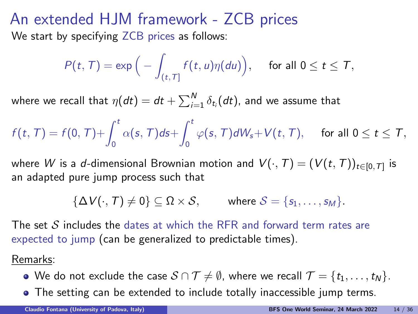#### An extended HJM framework - ZCB prices We start by specifying ZCB prices as follows:

$$
P(t,T) = \exp\Big(-\int_{(t,T]} f(t,u)\eta(du)\Big), \quad \text{ for all } 0 \leq t \leq T,
$$

where we recall that  $\eta(dt)=dt+\sum_{i=1}^N\delta_{t_i}(dt)$ , and we assume that

 $f(t, T) = f(0, T) + \int_0^t$ 0  $\alpha(\mathsf{s},\mathcal{T})$ ds $+ \int^t$  $\int\limits_{0}^{\pi}\varphi(s,\,T)dW_{s}+V(t,\,T),\quad\text{ for all }0\leq t\leq T,$ 

where  $W$  is a  $d$ -dimensional Brownian motion and  $\mathit{V}(\cdot,T) = (\mathit{V}(t,T))_{t \in [0,\mathcal{T}]}$  is an adapted pure jump process such that

 ${\{\Delta V(\cdot, T) \neq 0\}} \subset \Omega \times S$ , where  $S = {s_1, \ldots, s_M}$ .

The set  $S$  includes the dates at which the RFR and forward term rates are expected to jump (can be generalized to predictable times).

Remarks:

- $\bullet$  We do not exclude the case  $S \cap T \neq \emptyset$ , where we recall  $T = \{t_1, \ldots, t_N\}.$
- The setting can be extended to include totally inaccessible jump terms.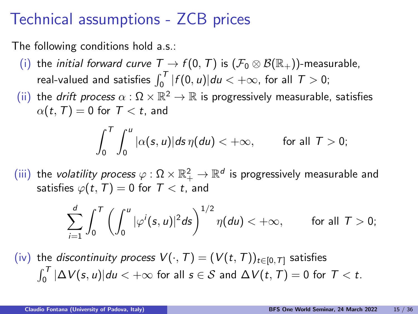#### Technical assumptions - ZCB prices

The following conditions hold a.s.:

- (i) the *initial forward curve*  $T \to f(0, T)$  is  $(\mathcal{F}_0 \otimes \mathcal{B}(\mathbb{R}_+))$ -measurable, real-valued and satisfies  $\int_0^T |f(0, u)| du < +\infty$ , for all  $T > 0$ ;
- (ii) the *drift process*  $\alpha : \Omega \times \mathbb{R}^2 \to \mathbb{R}$  is progressively measurable, satisfies  $\alpha(t,T) = 0$  for  $T < t$ , and

$$
\int_0^T \int_0^u |\alpha(s, u)| ds \, \eta(du) < +\infty, \qquad \text{ for all } T > 0;
$$

 $(iii)$  the *volatility process*  $\varphi:\Omega\times\mathbb{R}_+^2\to\mathbb{R}^d$  *is progressively measurable and* satisfies  $\varphi(t, T) = 0$  for  $T < t$ , and

$$
\sum_{i=1}^d \int_0^T \left( \int_0^u |\varphi^i(s, u)|^2 ds \right)^{1/2} \eta(du) < +\infty, \qquad \text{ for all } T > 0;
$$

(iv) the discontinuity process  $V(\cdot,T) = (V(t,T))_{t \in [0,T]}$  satisfies  $\int_0^{\mathcal T}|\Delta\mathcal V(s,u)|du<+\infty$  for all  $s\in\mathcal S$  and  $\Delta\mathcal V(t,\mathcal T)=0$  for  $\mathcal T < t.$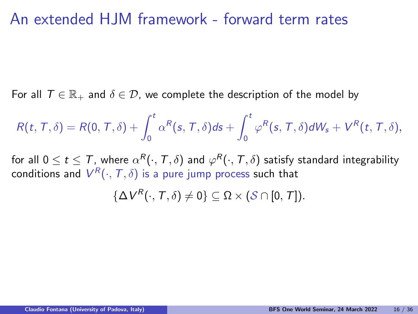#### An extended HJM framework - forward term rates

For all  $\mathcal{T} \in \mathbb{R}_+$  and  $\delta \in \mathcal{D}$ , we complete the description of the model by

$$
R(t, T, \delta) = R(0, T, \delta) + \int_0^t \alpha^R(s, T, \delta) ds + \int_0^t \varphi^R(s, T, \delta) dW_s + V^R(t, T, \delta),
$$

for all  $0\leq t\leq\mathcal{T}$ , where  $\alpha^{\mathcal{R}}(\cdot,\mathcal{T},\delta)$  and  $\varphi^{\mathcal{R}}(\cdot,\mathcal{T},\delta)$  satisfy standard integrability conditions and  $V^R(\cdot,\mathcal{T},\delta)$  is a pure jump process such that

 $\{\Delta V^R(\cdot,T,\delta)\neq 0\}\subseteq \Omega\times (\mathcal{S}\cap [0,T]).$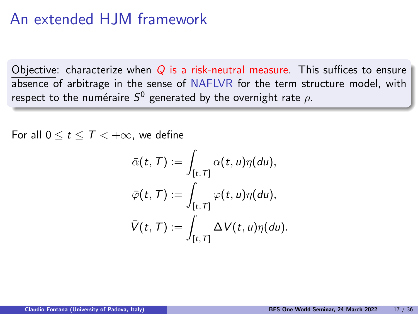#### An extended HJM framework

Objective: characterize when  $Q$  is a risk-neutral measure. This suffices to ensure absence of arbitrage in the sense of NAFLVR for the term structure model, with respect to the numéraire  $S^0$  generated by the overnight rate  $\rho$ .

For all  $0 \le t \le T \le +\infty$ , we define

$$
\bar{\alpha}(t, T) := \int_{[t, T]} \alpha(t, u) \eta(du),
$$
  

$$
\bar{\varphi}(t, T) := \int_{[t, T]} \varphi(t, u) \eta(du),
$$
  

$$
\bar{V}(t, T) := \int_{[t, T]} \Delta V(t, u) \eta(du).
$$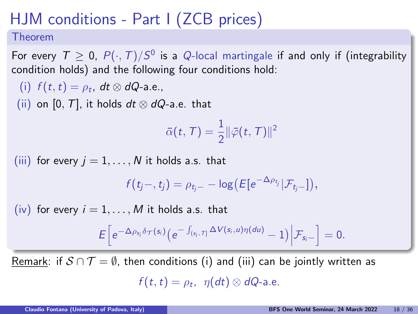# HJM conditions - Part I (ZCB prices)

#### Theorem

For every  $\mathcal{T} \geq 0$ ,  $P(\cdot,T)/S^0$  is a  $Q$ -local martingale if and only if (integrability condition holds) and the following four conditions hold:

(i)  $f(t,t) = \rho_t$ , dt  $\otimes$  dQ-a.e., (ii) on [0, T], it holds  $dt \otimes dQ$ -a.e. that  $\bar{\alpha}(t, T) = \frac{1}{2} \lVert \bar{\varphi}(t, T) \rVert^2$ (iii) for every  $j = 1, \ldots, N$  it holds a.s. that  $f(t_j-,t_j)=\rho_{t_j-}-\log\bigl(E[e^{-\Delta\rho_{t_j}}|\mathcal{F}_{t_j-}]\bigr),$ (iv) for every  $i = 1, \ldots, M$  it holds a.s. that  $E\Big[e^{-\Delta \rho_{s_i}\delta_{\mathcal{T}}(s_i)}\big(e^{-\int_{(s_i,\tau]} \Delta V(s_i,u)\eta(du)}-1\big)\Big|\mathcal{F}_{s_i-}\Big]=0.$ 

Remark: if  $S \cap T = \emptyset$ , then conditions (i) and (iii) can be jointly written as

 $f(t,t) = \rho_t$ ,  $\eta(dt) \otimes dQ$ -a.e.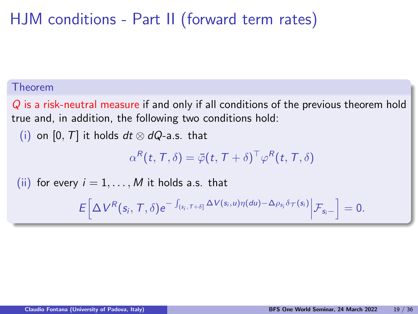# HJM conditions - Part II (forward term rates)

#### Theorem

Q is a risk-neutral measure if and only if all conditions of the previous theorem hold true and, in addition, the following two conditions hold:

(i) on [0, T] it holds  $dt \otimes dQ$ -a.s. that

 $\alpha^{\mathcal{R}}(t,\mathcal{T},\delta)=\bar{\varphi}(t,\mathcal{T}+\delta)^{\top}\varphi^{\mathcal{R}}(t,\mathcal{T},\delta)$ 

(ii) for every  $i = 1, \ldots, M$  it holds a.s. that

 $E\left[\Delta V^R(s_i, T, \delta)e^{-\int_{(s_i, T+\delta]}\Delta V(s_i, u)\eta(du)-\Delta \rho_{s_i}\delta_{\mathcal{T}}(s_i)}\Big|\mathcal{F}_{s_i-}\right] = 0.$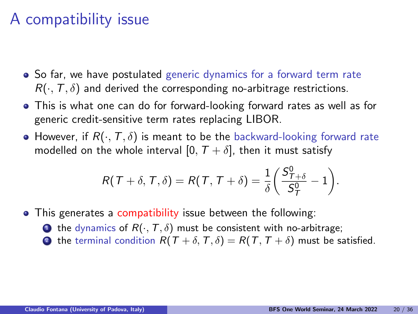## A compatibility issue

- So far, we have postulated generic dynamics for a forward term rate  $R(\cdot, T, \delta)$  and derived the corresponding no-arbitrage restrictions.
- This is what one can do for forward-looking forward rates as well as for generic credit-sensitive term rates replacing LIBOR.
- However, if  $R(\cdot, T, \delta)$  is meant to be the backward-looking forward rate modelled on the whole interval [0,  $T + \delta$ ], then it must satisfy

$$
R(T+\delta, T, \delta) = R(T, T+\delta) = \frac{1}{\delta} \left( \frac{S_{T+\delta}^{0}}{S_{T}^{0}} - 1 \right).
$$

- This generates a compatibility issue between the following:
	- **1** the dynamics of  $R(\cdot, T, \delta)$  must be consistent with no-arbitrage;
	- **2** the terminal condition  $R(T + \delta, T, \delta) = R(T, T + \delta)$  must be satisfied.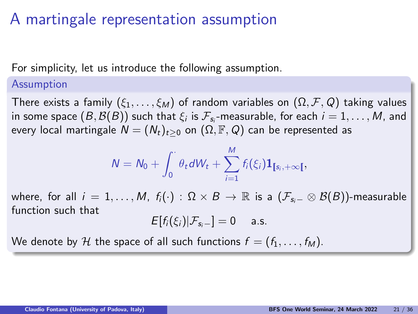### A martingale representation assumption

For simplicity, let us introduce the following assumption.

#### Assumption

There exists a family  $(\xi_1,\ldots,\xi_M)$  of random variables on  $(\Omega,\mathcal{F},\mathcal{Q})$  taking values in some space  $(B,\mathcal{B}(B))$  such that  $\xi_i$  is  $\mathcal{F}_{\mathsf{s}_i}$ -measurable, for each  $i=1,\ldots,M$ , and every local martingale  $N = (N_t)_{t>0}$  on  $(\Omega, \mathbb{F}, Q)$  can be represented as

$$
N = N_0 + \int_0^{\cdot} \theta_t dW_t + \sum_{i=1}^M f_i(\xi_i) \mathbf{1}_{[s_i, +\infty)},
$$

where, for all  $i = 1, ..., M$ ,  $f_i(\cdot) : \Omega \times B \to \mathbb{R}$  is a  $(\mathcal{F}_{s_i-} \otimes \mathcal{B}(B))$ -measurable function such that

$$
E[f_i(\xi_i)|\mathcal{F}_{s_i-}]=0 \quad \text{a.s.}
$$

We denote by H the space of all such functions  $f = (f_1, \ldots, f_M)$ .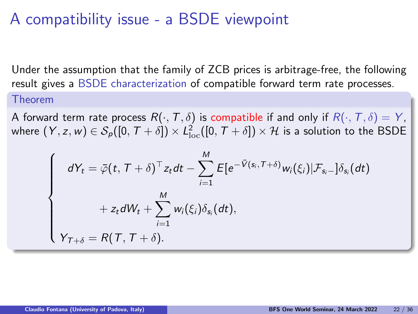## A compatibility issue - a BSDE viewpoint

Under the assumption that the family of ZCB prices is arbitrage-free, the following result gives a BSDE characterization of compatible forward term rate processes. Theorem

A forward term rate process  $R(\cdot, T, \delta)$  is compatible if and only if  $R(\cdot, T, \delta) = Y$ , where  $(Y,z,w)\in \mathcal{S}_{\rho}([0,\mathcal{T}+\delta])\times \mathcal{L}^2_{\text{loc}}([0,\mathcal{T}+\delta])\times \mathcal{H}$  is a solution to the BSDE

$$
\begin{cases}\ndY_t = \overline{\varphi}(t, T + \delta)^\top z_t dt - \sum_{i=1}^M E[e^{-\overline{V}(s_i, T + \delta)} w_i(\xi_i) | \mathcal{F}_{s_i-}] \delta_{s_i}(dt) \\
+ z_t dW_t + \sum_{i=1}^M w_i(\xi_i) \delta_{s_i}(dt), \\
Y_{T + \delta} = R(T, T + \delta).\n\end{cases}
$$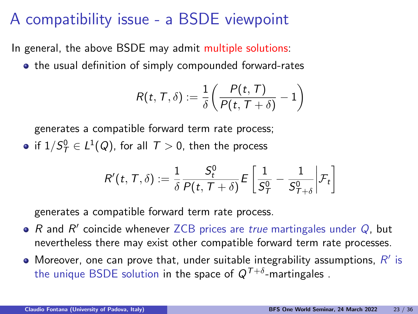## A compatibility issue - a BSDE viewpoint

In general, the above BSDE may admit multiple solutions:

• the usual definition of simply compounded forward-rates

$$
R(t, T, \delta) := \frac{1}{\delta} \left( \frac{P(t, T)}{P(t, T + \delta)} - 1 \right)
$$

generates a compatible forward term rate process; if  $1/S_T^0 \in L^1(Q)$ , for all  $T > 0$ , then the process

$$
R'(t,\, \mathcal{T},\delta) := \frac{1}{\delta}\frac{S^0_t}{P(t,\, \mathcal{T}+\delta)}\mathit{E}\left[\frac{1}{S^0_\mathcal{T}}-\frac{1}{S^0_{\mathcal{T}+\delta}}\bigg|\mathcal{F}_t\right]
$$

generates a compatible forward term rate process.

- R and  $R'$  coincide whenever ZCB prices are true martingales under  $Q$ , but nevertheless there may exist other compatible forward term rate processes.
- Moreover, one can prove that, under suitable integrability assumptions,  $R'$  is the unique BSDE solution in the space of  $\mathsf{Q}^{\mathcal{T}+\delta}$ -martingales .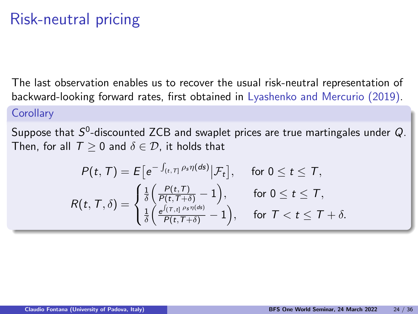# Risk-neutral pricing

The last observation enables us to recover the usual risk-neutral representation of backward-looking forward rates, first obtained in Lyashenko and Mercurio (2019).

#### **Corollary**

Suppose that  $S^0$ -discounted ZCB and swaplet prices are true martingales under  $Q$ . Then, for all  $T > 0$  and  $\delta \in \mathcal{D}$ , it holds that

$$
P(t, T) = E\big[e^{-\int_{(t, T]} \rho_s \eta(ds)} \big| \mathcal{F}_t\big], \quad \text{ for } 0 \le t \le T,
$$
  
\n
$$
R(t, T, \delta) = \begin{cases} \frac{1}{\delta} \Big( \frac{P(t, T)}{P(t, T + \delta)} - 1 \Big), & \text{ for } 0 \le t \le T, \\ \frac{1}{\delta} \Big( \frac{e^{\int (T, t]} \rho_s \eta(ds)}{P(t, T + \delta)} - 1 \Big), & \text{ for } T < t \le T + \delta. \end{cases}
$$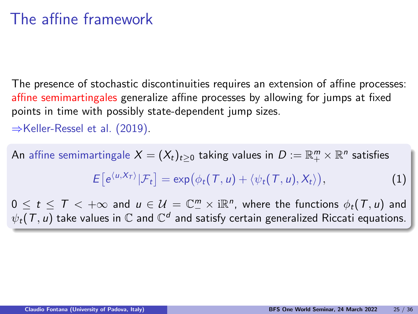### The affine framework

The presence of stochastic discontinuities requires an extension of affine processes: affine semimartingales generalize affine processes by allowing for jumps at fixed points in time with possibly state-dependent jump sizes.

⇒Keller-Ressel et al. (2019).

An affine semimartingale  $X=(X_t)_{t\geq 0}$  taking values in  $D:=\mathbb{R}^m_+\times \mathbb{R}^n$  satisfies

$$
E[e^{\langle u, X_T \rangle} | \mathcal{F}_t] = \exp(\phi_t(T, u) + \langle \psi_t(T, u), X_t \rangle), \tag{1}
$$

 $0 \leq t \leq \overline{T} < +\infty$  and  $u \in \mathcal{U} = \mathbb{C}_{-}^{m} \times \mathrm{i} \mathbb{R}^{n}$ , where the functions  $\phi_{t}(\overline{T}, u)$  and  $\psi_t(\mathcal{T}, u)$  take values in  $\mathbb C$  and  $\mathbb C^d$  and satisfy certain generalized Riccati equations.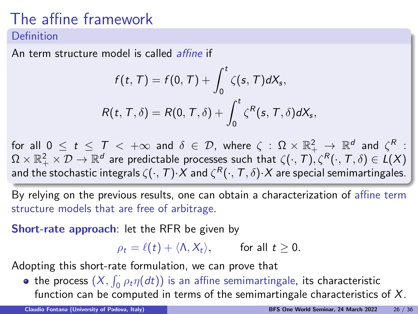# The affine framework

#### Definition

An term structure model is called *affine* if

$$
f(t, T) = f(0, T) + \int_0^t \zeta(s, T) dX_s,
$$
  

$$
R(t, T, \delta) = R(0, T, \delta) + \int_0^t \zeta^R(s, T, \delta) dX_s,
$$

for all  $0\,\leq\,t\,\leq\,$   $\mathcal{T}\,<\,+\infty$  and  $\delta\,\in\,\mathcal{D},\,$  where  $\,\zeta\,:\,\Omega\,\times\,\mathbb{R}^2_+\,\,\rightarrow\,\mathbb{R}^d\,$  and  $\,\zeta^R\,$  :  $\Omega\times\mathbb R_+^2\times\mathcal D\to\mathbb R^d$  are predictable processes such that  $\zeta(\cdot,\mathcal T),\zeta^{\mathcal R}(\cdot,\mathcal T,\delta)\in L(X)$ and the stochastic integrals  $\zeta(\cdot,\mathcal{T})\mathord{\cdot} X$  and  $\zeta^{\mathcal{R}}(\cdot,\mathcal{T},\delta)\mathord{\cdot} X$  are special semimartingales.

By relying on the previous results, one can obtain a characterization of affine term structure models that are free of arbitrage.

Short-rate approach: let the RFR be given by

 $\rho_t = \ell(t) + \langle \Lambda, X_t \rangle$ , for all  $t > 0$ .

Adopting this short-rate formulation, we can prove that

the process  $(X, \int_0^1 \rho_t \eta(dt))$  is an affine semimartingale, its characteristic function can be computed in terms of the semimartingale characteristics of X.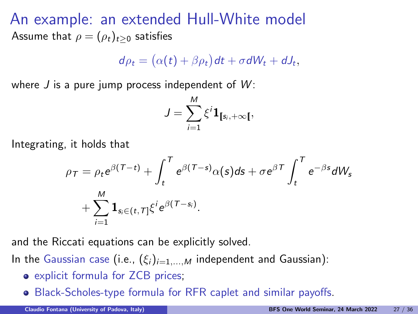An example: an extended Hull-White model Assume that  $\rho = (\rho_t)_{t>0}$  satisfies

$$
d\rho_t = (\alpha(t) + \beta \rho_t) dt + \sigma dW_t + dJ_t,
$$

where J is a pure jump process independent of  $W$ :

$$
J=\sum_{i=1}^M \xi^i \mathbf{1}_{[s_i,+\infty[},
$$

Integrating, it holds that

$$
\rho_{\tau} = \rho_t e^{\beta(\tau - t)} + \int_t^{\tau} e^{\beta(\tau - s)} \alpha(s) ds + \sigma e^{\beta \tau} \int_t^{\tau} e^{-\beta s} dW_s
$$

$$
+ \sum_{i=1}^{M} \mathbf{1}_{s_i \in (t, \tau]} \xi^i e^{\beta(\tau - s_i)}.
$$

and the Riccati equations can be explicitly solved.

In the Gaussian case (i.e.,  $(\xi_i)_{i=1,...,M}$  independent and Gaussian):

- explicit formula for ZCB prices;
- Black-Scholes-type formula for RFR caplet and similar payoffs.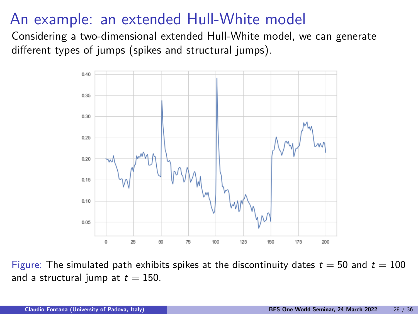## An example: an extended Hull-White model

Considering a two-dimensional extended Hull-White model, we can generate different types of jumps (spikes and structural jumps).



Figure: The simulated path exhibits spikes at the discontinuity dates  $t = 50$  and  $t = 100$ and a structural jump at  $t = 150$ .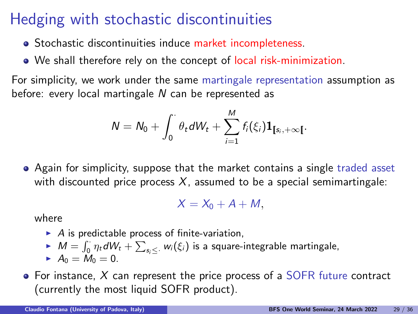## Hedging with stochastic discontinuities

- Stochastic discontinuities induce market incompleteness.
- We shall therefore rely on the concept of local risk-minimization.

For simplicity, we work under the same martingale representation assumption as before: every local martingale N can be represented as

$$
N = N_0 + \int_0^{\cdot} \theta_t dW_t + \sum_{i=1}^{M} f_i(\xi_i) \mathbf{1}_{[s_i, +\infty[}.
$$

Again for simplicity, suppose that the market contains a single traded asset with discounted price process  $X$ , assumed to be a special semimartingale:

$$
X=X_0+A+M,
$$

where

- $\blacktriangleright$  A is predictable process of finite-variation,
- $M = \int_0^1 \eta_t dW_t + \sum_{s_i \leq \cdot} w_i(\xi_i)$  is a square-integrable martingale,
- $A_0 = M_0 = 0.$

 $\bullet$  For instance, X can represent the price process of a SOFR future contract (currently the most liquid SOFR product).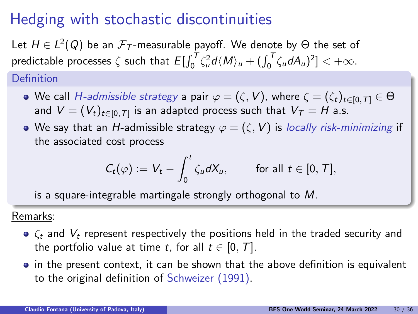# Hedging with stochastic discontinuities

Let  $H\in L^2(Q)$  be an  ${\mathcal F}_{{\mathcal T}}$ -measurable payoff. We denote by  $\Theta$  the set of predictable processes  $\zeta$  such that  $E[\int_0^T \zeta_u^2 d\langle M \rangle_u + (\int_0^T \zeta_u dA_u)^2] < +\infty$ .

Definition

- We call *H-admissible strategy* a pair  $\varphi = (\zeta, V)$ , where  $\zeta = (\zeta_t)_{t \in [0, T]} \in \Theta$ and  $V=(V_t)_{t\in[0,\mathcal{T}]}$  is an adapted process such that  $V_\mathcal{T}=H$  a.s.
- We say that an H-admissible strategy  $\varphi = (\zeta, V)$  is locally risk-minimizing if the associated cost process

$$
C_t(\varphi) := V_t - \int_0^t \zeta_u dX_u, \quad \text{for all } t \in [0, T],
$$

is a square-integrable martingale strongly orthogonal to M.

Remarks:

- $\bullet$   $\zeta_t$  and  $V_t$  represent respectively the positions held in the traded security and the portfolio value at time t, for all  $t \in [0, T]$ .
- in the present context, it can be shown that the above definition is equivalent to the original definition of Schweizer (1991).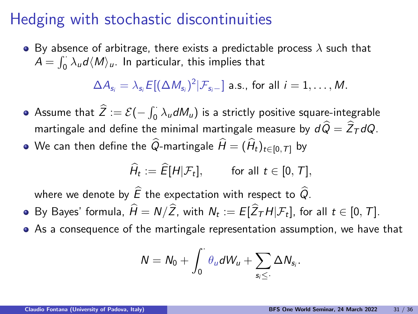### Hedging with stochastic discontinuities

 $\bullet$  By absence of arbitrage, there exists a predictable process  $\lambda$  such that  $A = \int_0^1 \lambda_u d \langle M \rangle_u$ . In particular, this implies that

 $\Delta A_{\mathsf{s}_i} = \lambda_{\mathsf{s}_i} E[(\Delta M_{\mathsf{s}_i})^2 | \mathcal{F}_{\mathsf{s}_i-}]$  a.s., for all  $i=1,\ldots,M.$ 

- Assume that  $\widehat{Z} := \mathcal{E}(-\int_0^{\cdot} \lambda_u dM_u)$  is a strictly positive square-integrable martingale and define the minimal martingale measure by  $d\widehat{Q} = \widehat{Z}_T dQ$ .
- $\bullet$  We can then define the  $\widehat{Q}$ -martingale  $\widehat{H} = (\widehat{H}_t)_{t \in [0,T]}$  by

$$
\widehat{H}_t := \widehat{E}[H|\mathcal{F}_t], \quad \text{for all } t \in [0, T],
$$

where we denote by  $\widehat{E}$  the expectation with respect to  $\widehat{Q}$ .

- By Bayes' formula,  $H = N/Z$ , with  $N_t := E[Z_\mathcal{T} H | \mathcal{F}_t]$ , for all  $t \in [0, T]$ .
- As a consequence of the martingale representation assumption, we have that

$$
N=N_0+\int_0^{\cdot}\theta_u dW_u+\sum_{s_i\leq \cdot}\Delta N_{s_i}.
$$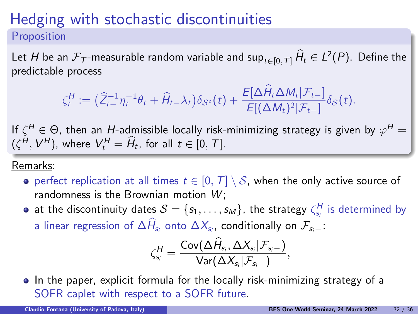#### Hedging with stochastic discontinuities Proposition

Let  $H$  be an  $\mathcal{F}_{\mathcal{T}}$ -measurable random variable and sup $_{t\in [0,\mathcal{T}]}$   $\dot{H}_t\in L^2(P).$  Define the predictable process

$$
\zeta_t^H := \left(\widehat{Z}_{t-}^{-1} \eta_t^{-1} \theta_t + \widehat{H}_{t-\lambda_t}\right) \delta_{\mathcal{S}^c}(t) + \frac{E[\Delta \widehat{H}_t \Delta M_t | \mathcal{F}_{t-}]}{E[(\Delta M_t)^2 | \mathcal{F}_{t-}]} \delta_{\mathcal{S}}(t).
$$

If  $\zeta^H\in\Theta$ , then an  $H$ -admissible locally risk-minimizing strategy is given by  $\varphi^H=$  $(\zeta^H, V^H)$ , where  $V_t^H = \hat{H}_t$ , for all  $t \in [0, T]$ .

#### Remarks:

- perfect replication at all times  $t \in [0, T] \setminus S$ , when the only active source of randomness is the Brownian motion  $W$ :
- at the discontinuity dates  $\mathcal{S} = \{s_1, \ldots, s_M\}$ , the strategy  $\zeta_{s_i}^H$  is determined by a linear regression of  $\Delta H_{\!_{i}}$  onto  $\Delta X_{\!_{i}}$ , conditionally on  $\mathcal{F}_{\mathsf{s}_i-}$ :

$$
\zeta_{s_i}^{\mathcal{H}} = \frac{\mathsf{Cov}(\Delta \widehat{H}_{s_i}, \Delta X_{s_i}|\mathcal{F}_{s_i-})}{\mathsf{Var}(\Delta X_{s_i}|\mathcal{F}_{s_i-})},
$$

• In the paper, explicit formula for the locally risk-minimizing strategy of a SOFR caplet with respect to a SOFR future.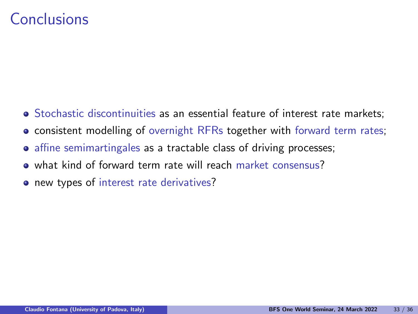### Conclusions

- Stochastic discontinuities as an essential feature of interest rate markets;
- consistent modelling of overnight RFRs together with forward term rates;
- affine semimartingales as a tractable class of driving processes;
- what kind of forward term rate will reach market consensus?
- new types of interest rate derivatives?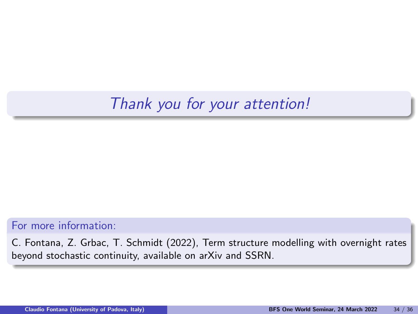# Thank you for your attention!

#### For more information:

C. Fontana, Z. Grbac, T. Schmidt (2022), Term structure modelling with overnight rates beyond stochastic continuity, available on arXiv and SSRN.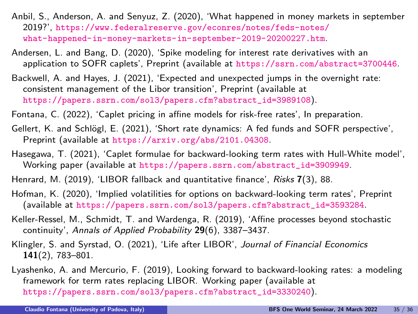- Anbil, S., Anderson, A. and Senyuz, Z. (2020), 'What happened in money markets in september 2019?', [https://www.federalreserve.gov/econres/notes/feds-notes/](https://www.federalreserve.gov/econres/notes/feds-notes/what-happened-in-money-markets-in-september-2019-20200227.htm) [what-happened-in-money-markets-in-september-2019-20200227.htm](https://www.federalreserve.gov/econres/notes/feds-notes/what-happened-in-money-markets-in-september-2019-20200227.htm).
- Andersen, L. and Bang, D. (2020), 'Spike modeling for interest rate derivatives with an application to SOFR caplets', Preprint (available at <https://ssrn.com/abstract=3700446>.
- Backwell, A. and Hayes, J. (2021), 'Expected and unexpected jumps in the overnight rate: consistent management of the Libor transition', Preprint (available at [https://papers.ssrn.com/sol3/papers.cfm?abstract\\_id=3989108](https://papers.ssrn.com/sol3/papers.cfm?abstract_id=3989108)).
- Fontana, C. (2022), 'Caplet pricing in affine models for risk-free rates', In preparation.
- Gellert, K. and Schlögl, E. (2021), 'Short rate dynamics: A fed funds and SOFR perspective', Preprint (available at <https://arxiv.org/abs/2101.04308>.
- Hasegawa, T. (2021), 'Caplet formulae for backward-looking term rates with Hull-White model', Working paper (available at [https://papers.ssrn.com/abstract\\_id=3909949](https://papers.ssrn.com/abstract_id=3909949).
- Henrard, M. (2019), 'LIBOR fallback and quantitative finance', Risks 7(3), 88.
- Hofman, K. (2020), 'Implied volatilities for options on backward-looking term rates', Preprint (available at [https://papers.ssrn.com/sol3/papers.cfm?abstract\\_id=3593284](https://papers.ssrn.com/sol3/papers.cfm?abstract_id=3593284).
- Keller-Ressel, M., Schmidt, T. and Wardenga, R. (2019), 'Affine processes beyond stochastic continuity', Annals of Applied Probability 29(6), 3387–3437.
- Klingler, S. and Syrstad, O. (2021), 'Life after LIBOR', Journal of Financial Economics 141(2), 783–801.
- Lyashenko, A. and Mercurio, F. (2019), Looking forward to backward-looking rates: a modeling framework for term rates replacing LIBOR. Working paper (available at [https://papers.ssrn.com/sol3/papers.cfm?abstract\\_id=3330240](https://papers.ssrn.com/sol3/papers.cfm?abstract_id=3330240)).